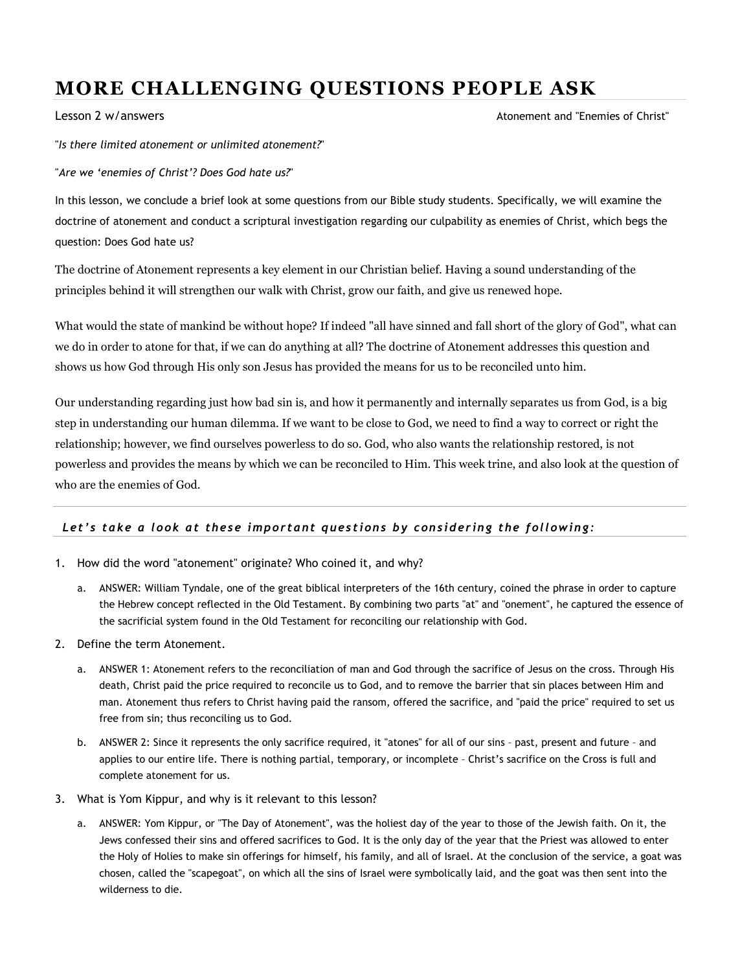## MORE CHALLENGING QUESTIONS PEOPLE ASK

Lesson 2 w/answers Atonement and "Enemies of Christ"

"Is there limited atonement or unlimited atonement?"

"Are we 'enemies of Christ'? Does God hate us?"

In this lesson, we conclude a brief look at some questions from our Bible study students. Specifically, we will examine the doctrine of atonement and conduct a scriptural investigation regarding our culpability as enemies of Christ, which begs the question: Does God hate us?

The doctrine of Atonement represents a key element in our Christian belief. Having a sound understanding of the principles behind it will strengthen our walk with Christ, grow our faith, and give us renewed hope.

What would the state of mankind be without hope? If indeed "all have sinned and fall short of the glory of God", what can we do in order to atone for that, if we can do anything at all? The doctrine of Atonement addresses this question and shows us how God through His only son Jesus has provided the means for us to be reconciled unto him.

Our understanding regarding just how bad sin is, and how it permanently and internally separates us from God, is a big step in understanding our human dilemma. If we want to be close to God, we need to find a way to correct or right the relationship; however, we find ourselves powerless to do so. God, who also wants the relationship restored, is not powerless and provides the means by which we can be reconciled to Him. This week trine, and also look at the question of who are the enemies of God.

## Let's take a look at these important questions by considering the following:

- 1. How did the word "atonement" originate? Who coined it, and why?
	- a. ANSWER: William Tyndale, one of the great biblical interpreters of the 16th century, coined the phrase in order to capture the Hebrew concept reflected in the Old Testament. By combining two parts "at" and "onement", he captured the essence of the sacrificial system found in the Old Testament for reconciling our relationship with God.
- 2. Define the term Atonement.
	- a. ANSWER 1: Atonement refers to the reconciliation of man and God through the sacrifice of Jesus on the cross. Through His death, Christ paid the price required to reconcile us to God, and to remove the barrier that sin places between Him and man. Atonement thus refers to Christ having paid the ransom, offered the sacrifice, and "paid the price" required to set us free from sin; thus reconciling us to God.
	- b. ANSWER 2: Since it represents the only sacrifice required, it "atones" for all of our sins past, present and future and applies to our entire life. There is nothing partial, temporary, or incomplete – Christ's sacrifice on the Cross is full and complete atonement for us.
- 3. What is Yom Kippur, and why is it relevant to this lesson?
	- a. ANSWER: Yom Kippur, or "The Day of Atonement", was the holiest day of the year to those of the Jewish faith. On it, the Jews confessed their sins and offered sacrifices to God. It is the only day of the year that the Priest was allowed to enter the Holy of Holies to make sin offerings for himself, his family, and all of Israel. At the conclusion of the service, a goat was chosen, called the "scapegoat", on which all the sins of Israel were symbolically laid, and the goat was then sent into the wilderness to die.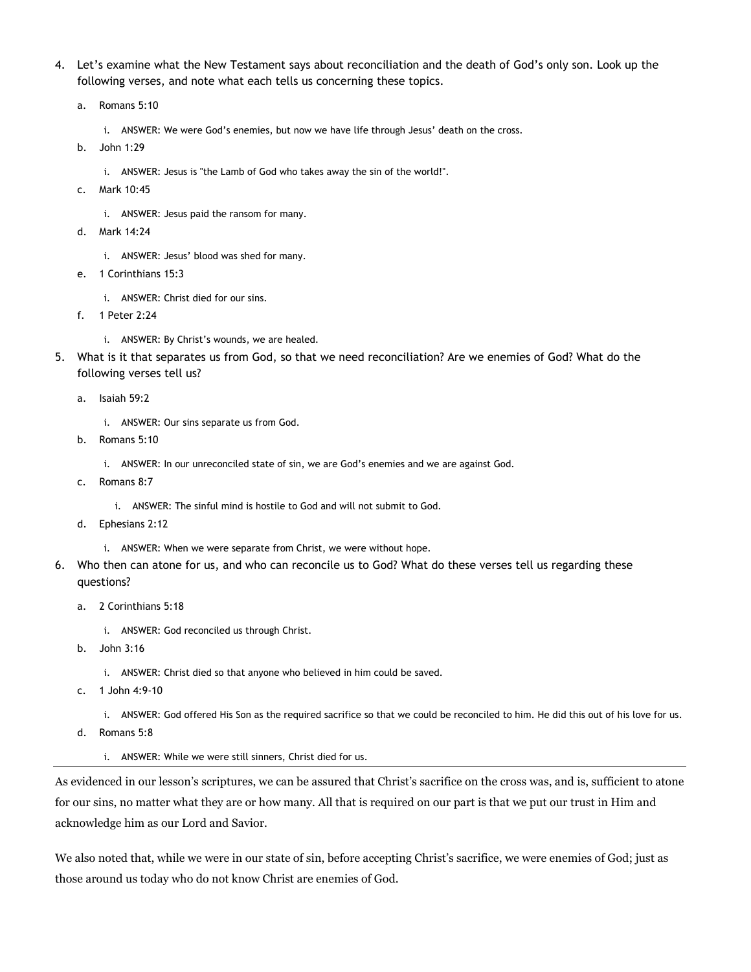- 4. Let's examine what the New Testament says about reconciliation and the death of God's only son. Look up the following verses, and note what each tells us concerning these topics.
	- a. Romans 5:10
		- i. ANSWER: We were God's enemies, but now we have life through Jesus' death on the cross.
	- b. John 1:29
		- i. ANSWER: Jesus is "the Lamb of God who takes away the sin of the world!".
	- c. Mark 10:45
		- i. ANSWER: Jesus paid the ransom for many.
	- d. Mark 14:24
		- i. ANSWER: Jesus' blood was shed for many.
	- e. 1 Corinthians 15:3
		- i. ANSWER: Christ died for our sins.
	- f. 1 Peter 2:24
		- i. ANSWER: By Christ's wounds, we are healed.
- 5. What is it that separates us from God, so that we need reconciliation? Are we enemies of God? What do the following verses tell us?
	- a. Isaiah 59:2
		- i. ANSWER: Our sins separate us from God.
	- b. Romans 5:10
		- i. ANSWER: In our unreconciled state of sin, we are God's enemies and we are against God.
	- c. Romans 8:7
		- i. ANSWER: The sinful mind is hostile to God and will not submit to God.
	- d. Ephesians 2:12
		- i. ANSWER: When we were separate from Christ, we were without hope.
- 6. Who then can atone for us, and who can reconcile us to God? What do these verses tell us regarding these questions?
	- a. 2 Corinthians 5:18
		- i. ANSWER: God reconciled us through Christ.
	- b. John 3:16
		- i. ANSWER: Christ died so that anyone who believed in him could be saved.
	- c. 1 John 4:9-10
		- i. ANSWER: God offered His Son as the required sacrifice so that we could be reconciled to him. He did this out of his love for us.
	- d. Romans 5:8
		- i. ANSWER: While we were still sinners, Christ died for us.

As evidenced in our lesson's scriptures, we can be assured that Christ's sacrifice on the cross was, and is, sufficient to atone for our sins, no matter what they are or how many. All that is required on our part is that we put our trust in Him and acknowledge him as our Lord and Savior.

We also noted that, while we were in our state of sin, before accepting Christ's sacrifice, we were enemies of God; just as those around us today who do not know Christ are enemies of God.